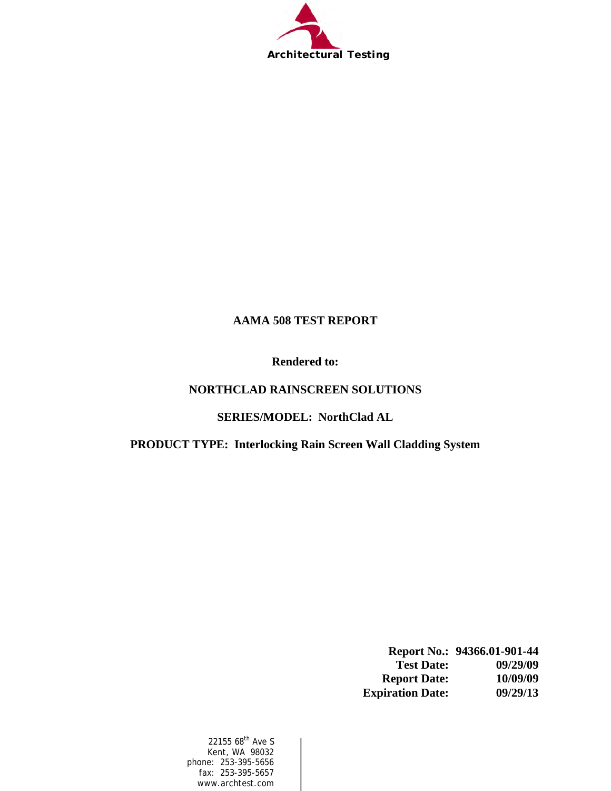

### **AAMA 508 TEST REPORT**

**Rendered to:** 

### **NORTHCLAD RAINSCREEN SOLUTIONS**

**SERIES/MODEL: NorthClad AL** 

**PRODUCT TYPE: Interlocking Rain Screen Wall Cladding System** 

|                         | Report No.: 94366.01-901-44 |
|-------------------------|-----------------------------|
| <b>Test Date:</b>       | 09/29/09                    |
| <b>Report Date:</b>     | 10/09/09                    |
| <b>Expiration Date:</b> | 09/29/13                    |

22155 68<sup>th</sup> Ave S Kent, WA 98032 phone: 253-395-5656 fax: 253-395-5657 www.archtest.com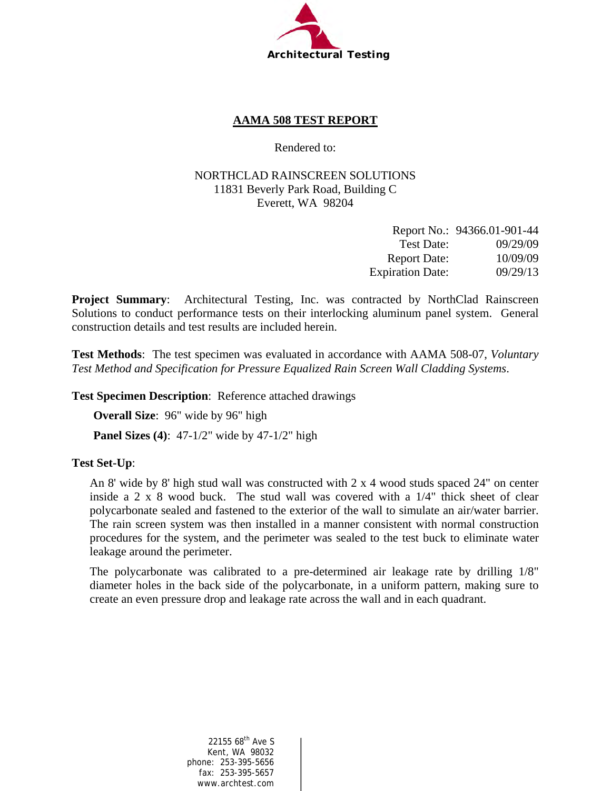

### **AAMA 508 TEST REPORT**

Rendered to:

#### NORTHCLAD RAINSCREEN SOLUTIONS 11831 Beverly Park Road, Building C Everett, WA 98204

|                         | Report No.: 94366.01-901-44 |
|-------------------------|-----------------------------|
| Test Date:              | 09/29/09                    |
| <b>Report Date:</b>     | 10/09/09                    |
| <b>Expiration Date:</b> | 09/29/13                    |

**Project Summary**: Architectural Testing, Inc. was contracted by NorthClad Rainscreen Solutions to conduct performance tests on their interlocking aluminum panel system. General construction details and test results are included herein.

**Test Methods**: The test specimen was evaluated in accordance with AAMA 508-07, *Voluntary Test Method and Specification for Pressure Equalized Rain Screen Wall Cladding Systems*.

**Test Specimen Description**: Reference attached drawings

**Overall Size**: 96" wide by 96" high

**Panel Sizes (4)**: 47-1/2" wide by 47-1/2" high

#### **Test Set-Up**:

An 8' wide by 8' high stud wall was constructed with 2 x 4 wood studs spaced 24" on center inside a 2 x 8 wood buck. The stud wall was covered with a 1/4" thick sheet of clear polycarbonate sealed and fastened to the exterior of the wall to simulate an air/water barrier. The rain screen system was then installed in a manner consistent with normal construction procedures for the system, and the perimeter was sealed to the test buck to eliminate water leakage around the perimeter.

The polycarbonate was calibrated to a pre-determined air leakage rate by drilling 1/8" diameter holes in the back side of the polycarbonate, in a uniform pattern, making sure to create an even pressure drop and leakage rate across the wall and in each quadrant.

> 22155 68<sup>th</sup> Ave S Kent, WA 98032 phone: 253-395-5656 fax: 253-395-5657 www.archtest.com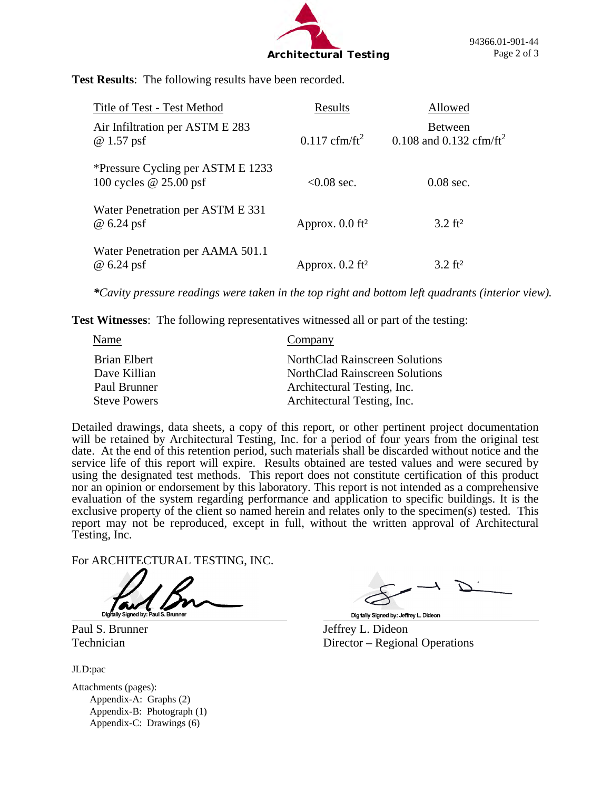

**Test Results**: The following results have been recorded.

| Title of Test - Test Method                                   | Results                       | Allowed                                               |
|---------------------------------------------------------------|-------------------------------|-------------------------------------------------------|
| Air Infiltration per ASTM E 283<br>$@1.57$ psf                | $0.117$ cfm/ft <sup>2</sup>   | <b>Between</b><br>0.108 and 0.132 cfm/ft <sup>2</sup> |
| *Pressure Cycling per ASTM E 1233<br>100 cycles $@$ 25.00 psf | $< 0.08$ sec.                 | $0.08$ sec.                                           |
| Water Penetration per ASTM E 331<br>@ 6.24 psf                | Approx. $0.0$ ft <sup>2</sup> | $3.2 \text{ ft}^2$                                    |
| Water Penetration per AAMA 501.1<br>@ 6.24 psf                | Approx. $0.2$ ft <sup>2</sup> | $3.2 \text{ ft}^2$                                    |

*\*Cavity pressure readings were taken in the top right and bottom left quadrants (interior view).* 

**Test Witnesses**: The following representatives witnessed all or part of the testing:

| Name                | Company                               |
|---------------------|---------------------------------------|
| Brian Elbert        | <b>NorthClad Rainscreen Solutions</b> |
| Dave Killian        | <b>NorthClad Rainscreen Solutions</b> |
| Paul Brunner        | Architectural Testing, Inc.           |
| <b>Steve Powers</b> | Architectural Testing, Inc.           |

Detailed drawings, data sheets, a copy of this report, or other pertinent project documentation will be retained by Architectural Testing, Inc. for a period of four years from the original test date. At the end of this retention period, such materials shall be discarded without notice and the service life of this report will expire. Results obtained are tested values and were secured by using the designated test methods. This report does not constitute certification of this product nor an opinion or endorsement by this laboratory. This report is not intended as a comprehensive evaluation of the system regarding performance and application to specific buildings. It is the exclusive property of the client so named herein and relates only to the specimen(s) tested. This report may not be reproduced, except in full, without the written approval of Architectural Testing, Inc.

For ARCHITECTURAL TESTING, INC.

JLD:pac

Attachments (pages): Appendix-A: Graphs (2) Appendix-B: Photograph (1) Appendix-C: Drawings (6)

Digitally Signed by: Jeffrey L. Dideon

Paul S. Brunner Jeffrey L. Dideon Technician Director – Regional Operations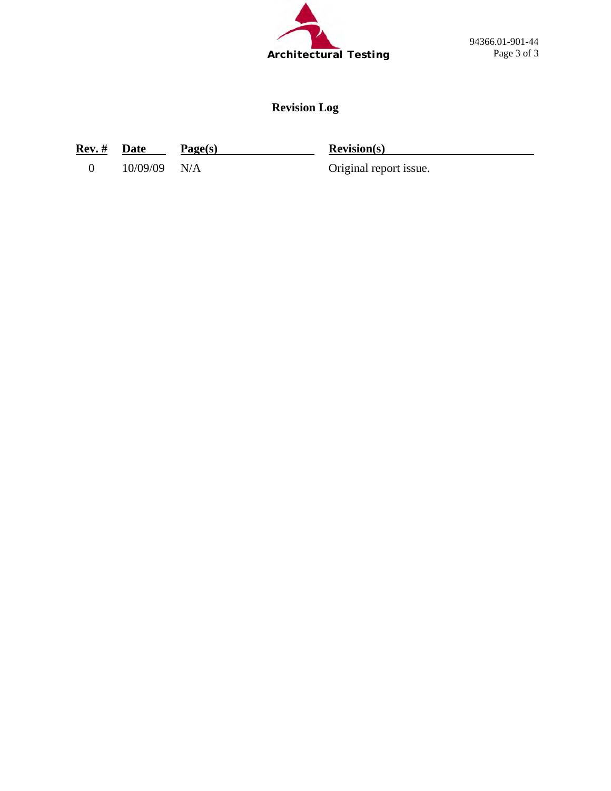

94366.01-901-44 Page 3 of 3

## **Revision Log**

**Rev. #** Date Page(s) **Revision(s)** 

0 10/09/09 N/A Original report issue.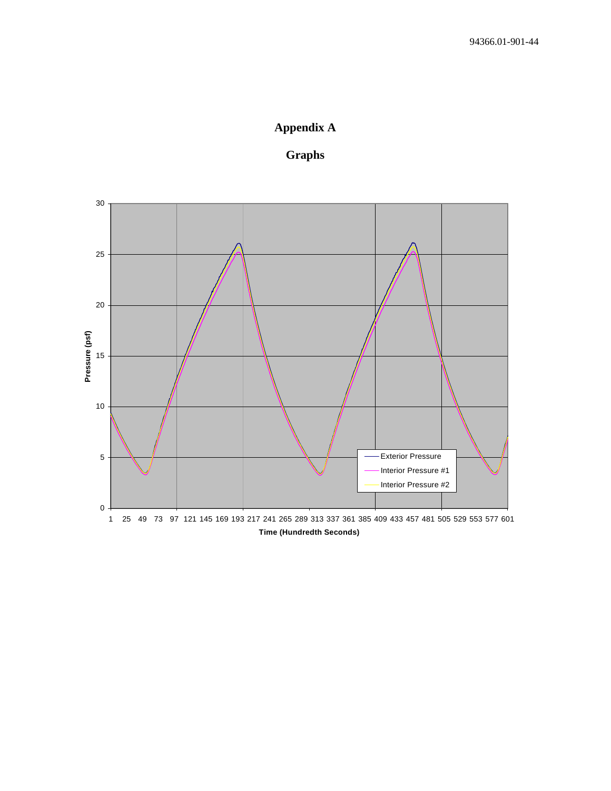## **Appendix A**

### **Graphs**

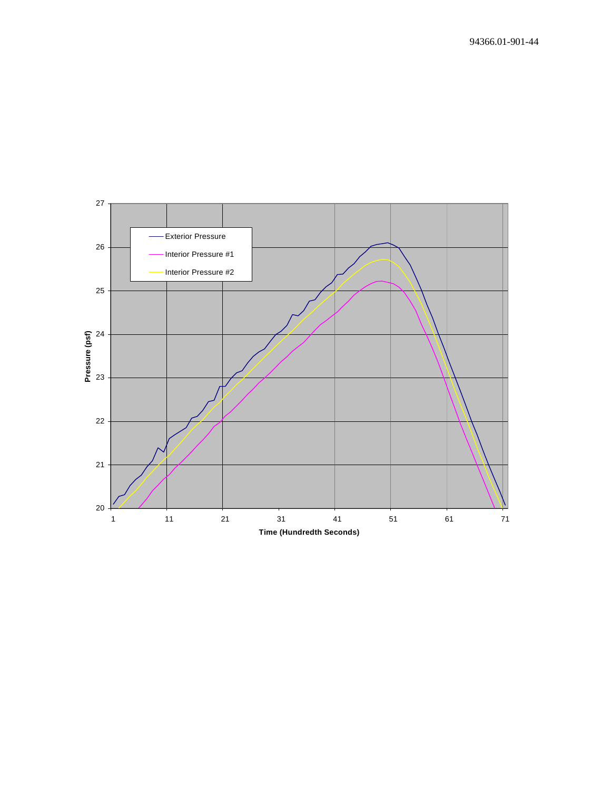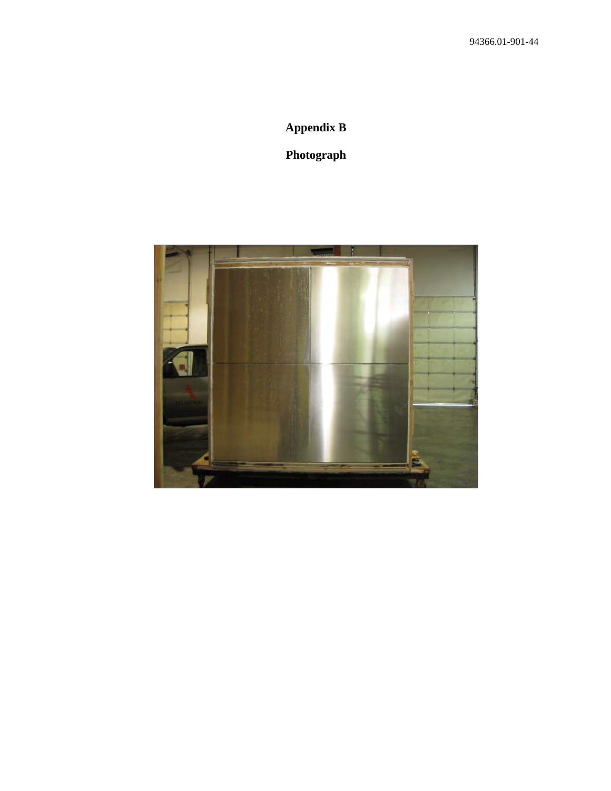# **Appendix B**

## **Photograph**

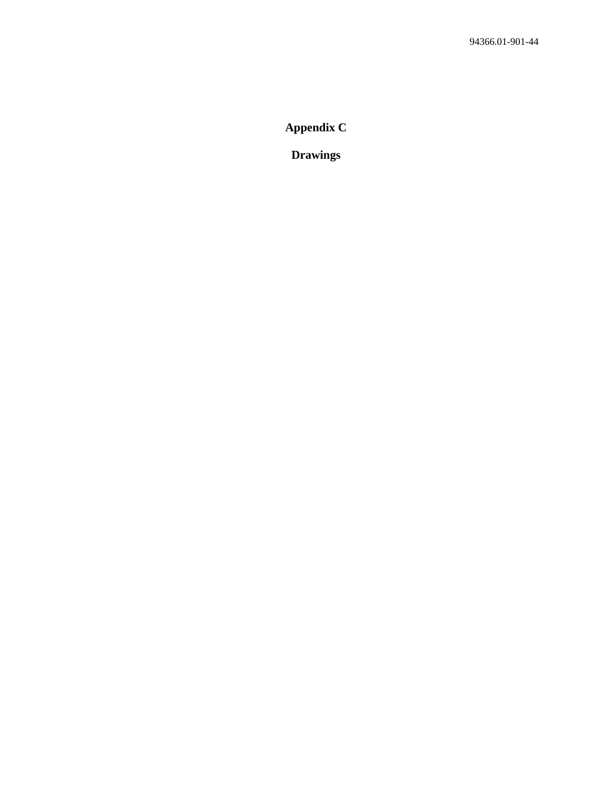**Appendix C** 

**Drawings**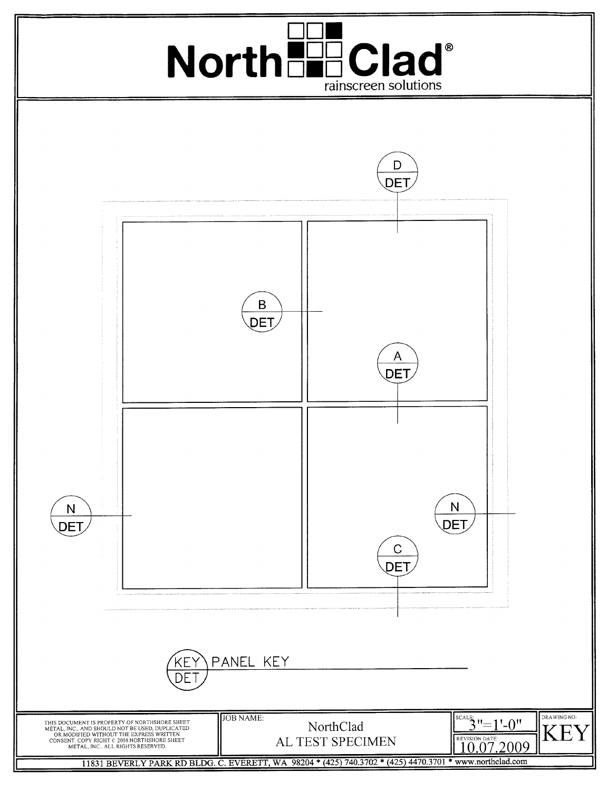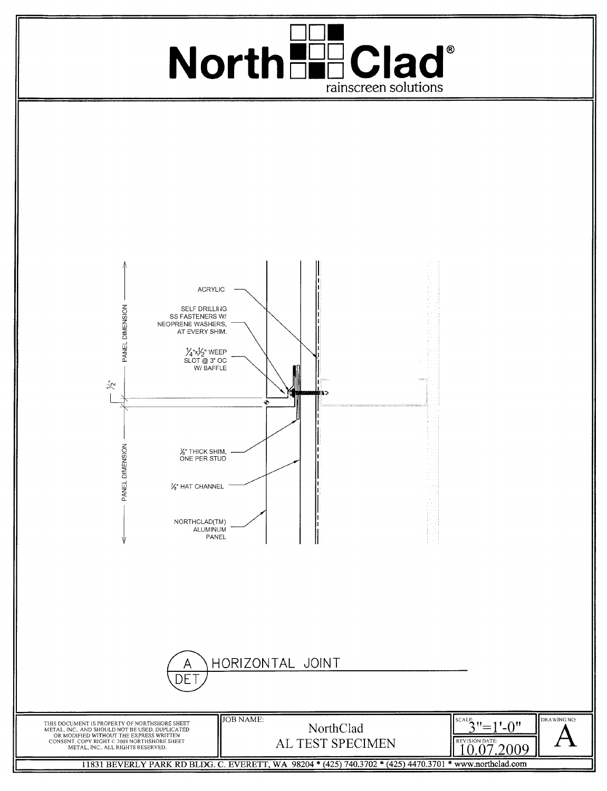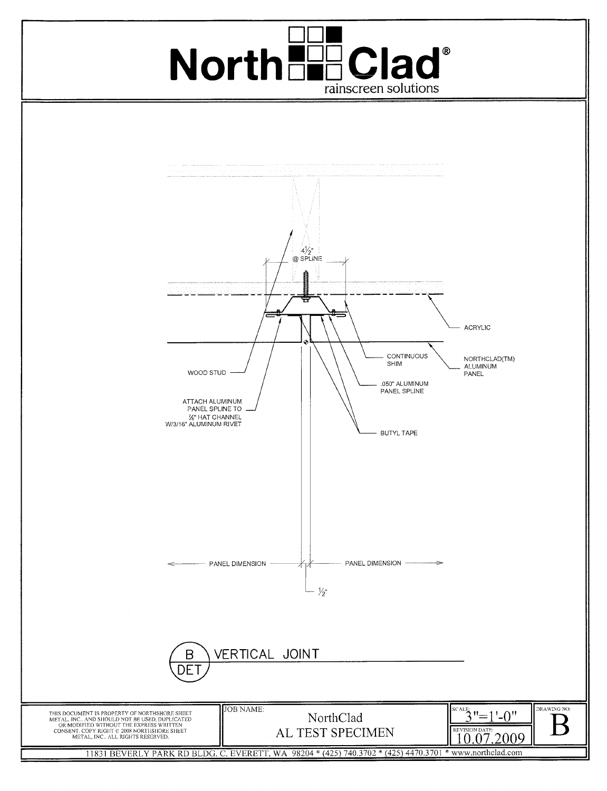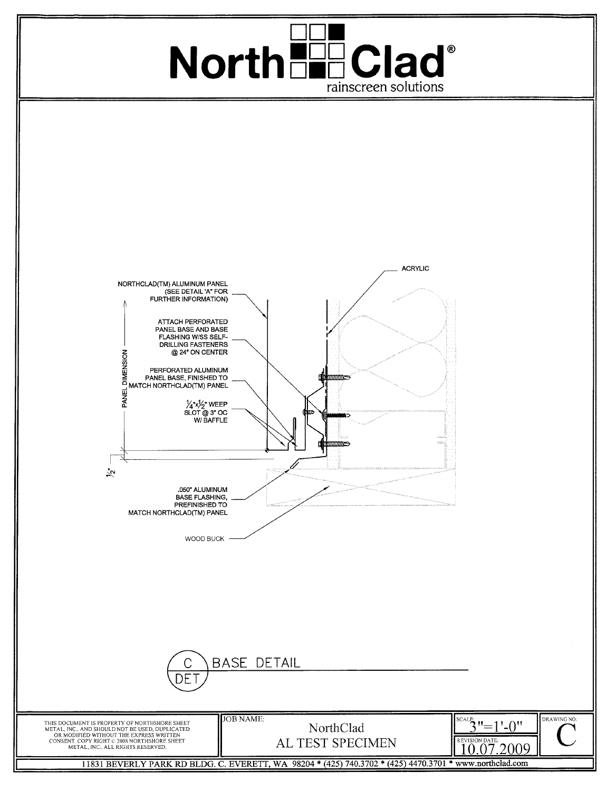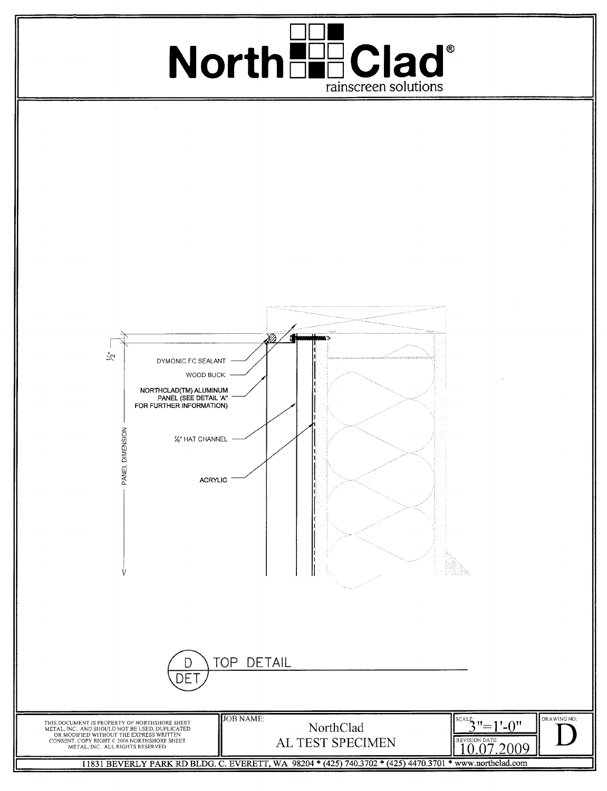